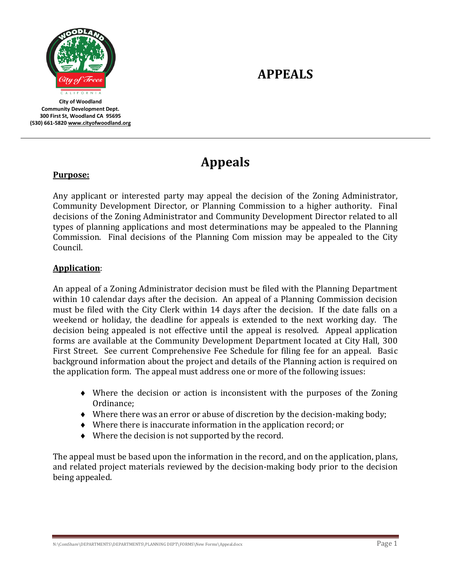

**City of Woodland Community Development Dept. 300 First St, Woodland CA 95695 (530) 661-582[0 www.cityofwoodland.org](http://www.cityofwoodland.org/)**

# **APPEALS**

# **Appeals**

#### **Purpose:**

Any applicant or interested party may appeal the decision of the Zoning Administrator, Community Development Director, or Planning Commission to a higher authority. Final decisions of the Zoning Administrator and Community Development Director related to all types of planning applications and most determinations may be appealed to the Planning Commission. Final decisions of the Planning Com mission may be appealed to the City Council.

#### **Application**:

An appeal of a Zoning Administrator decision must be filed with the Planning Department within 10 calendar days after the decision. An appeal of a Planning Commission decision must be filed with the City Clerk within 14 days after the decision. If the date falls on a weekend or holiday, the deadline for appeals is extended to the next working day. The decision being appealed is not effective until the appeal is resolved. Appeal application forms are available at the Community Development Department located at City Hall, 300 First Street. See current Comprehensive Fee Schedule for filing fee for an appeal. Basic background information about the project and details of the Planning action is required on the application form. The appeal must address one or more of the following issues:

- Where the decision or action is inconsistent with the purposes of the Zoning Ordinance;
- Where there was an error or abuse of discretion by the decision-making body;
- Where there is inaccurate information in the application record; or
- Where the decision is not supported by the record.

The appeal must be based upon the information in the record, and on the application, plans, and related project materials reviewed by the decision-making body prior to the decision being appealed.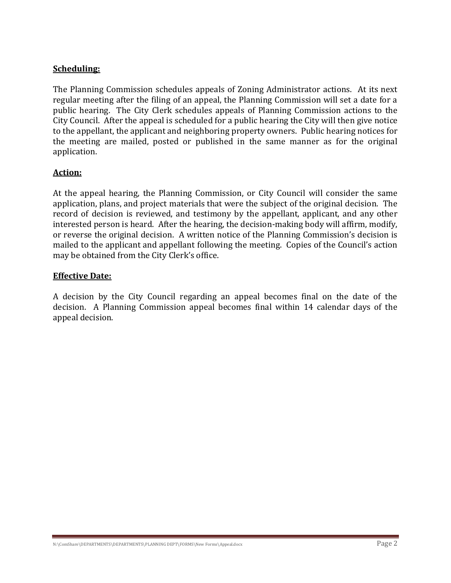### **Scheduling:**

The Planning Commission schedules appeals of Zoning Administrator actions. At its next regular meeting after the filing of an appeal, the Planning Commission will set a date for a public hearing. The City Clerk schedules appeals of Planning Commission actions to the City Council. After the appeal is scheduled for a public hearing the City will then give notice to the appellant, the applicant and neighboring property owners. Public hearing notices for the meeting are mailed, posted or published in the same manner as for the original application.

### **Action:**

At the appeal hearing, the Planning Commission, or City Council will consider the same application, plans, and project materials that were the subject of the original decision. The record of decision is reviewed, and testimony by the appellant, applicant, and any other interested person is heard. After the hearing, the decision-making body will affirm, modify, or reverse the original decision. A written notice of the Planning Commission's decision is mailed to the applicant and appellant following the meeting. Copies of the Council's action may be obtained from the City Clerk's office.

### **Effective Date:**

A decision by the City Council regarding an appeal becomes final on the date of the decision. A Planning Commission appeal becomes final within 14 calendar days of the appeal decision.